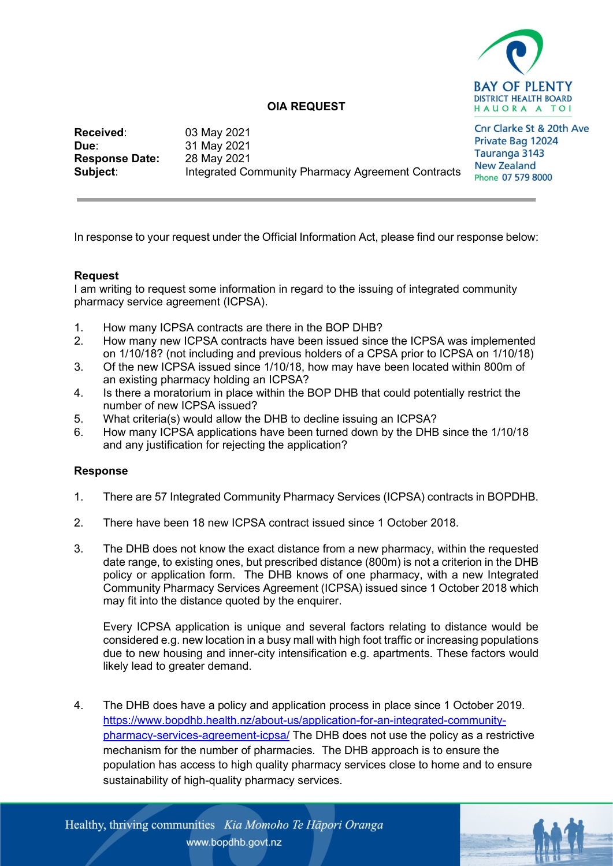

## **OIA REQUEST**

Cnr Clarke St & 20th Ave **Received:** 03 May 2021<br> **Due:** 31 May 2021 Private Bag 12024 **Due**: 31 May 2021 Tauranga 3143 **Response Date:** New Zealand **Subject:** Integrated Community Pharmacy Agreement Contracts Phone 07 579 8000

## **Request**

I am writing to request some information in regard to the issuing of integrated community pharmacy service agreement (ICPSA).

In response to your request under the Official Information Act, please find our response below:

- 1. How many ICPSA contracts are there in the BOP DHB?
- 2. How many new ICPSA contracts have been issued since the ICPSA was implemented on 1/10/18? (not including and previous holders of a CPSA prior to ICPSA on 1/10/18)
- 3. Of the new ICPSA issued since 1/10/18, how may have been located within 800m of an existing pharmacy holding an ICPSA?
- 4. Is there a moratorium in place within the BOP DHB that could potentially restrict the number of new ICPSA issued?
- 5. What criteria(s) would allow the DHB to decline issuing an ICPSA?
- 6. How many ICPSA applications have been turned down by the DHB since the 1/10/18 and any justification for rejecting the application?

## **Response**

- 1. There are 57 Integrated Community Pharmacy Services (ICPSA) contracts in BOPDHB.
- 2. There have been 18 new ICPSA contract issued since 1 October 2018.
- 3. The DHB does not know the exact distance from a new pharmacy, within the requested date range, to existing ones, but prescribed distance (800m) is not a criterion in the DHB policy or application form. The DHB knows of one pharmacy, with a new Integrated Community Pharmacy Services Agreement (ICPSA) issued since 1 October 2018 which may fit into the distance quoted by the enquirer.

Every ICPSA application is unique and several factors relating to distance would be considered e.g. new location in a busy mall with high foot traffic or increasing populations due to new housing and inner-city intensification e.g. apartments. These factors would likely lead to greater demand.

4. The DHB does have a policy and application process in place since 1 October 2019. [https://www.bopdhb.health.nz/about-us/application-for-an-integrated-community](https://www.bopdhb.health.nz/about-us/application-for-an-integrated-community-pharmacy-services-agreement-icpsa/)[pharmacy-services-agreement-icpsa/](https://www.bopdhb.health.nz/about-us/application-for-an-integrated-community-pharmacy-services-agreement-icpsa/) The DHB does not use the policy as a restrictive mechanism for the number of pharmacies. The DHB approach is to ensure the population has access to high quality pharmacy services close to home and to ensure sustainability of high-quality pharmacy services.